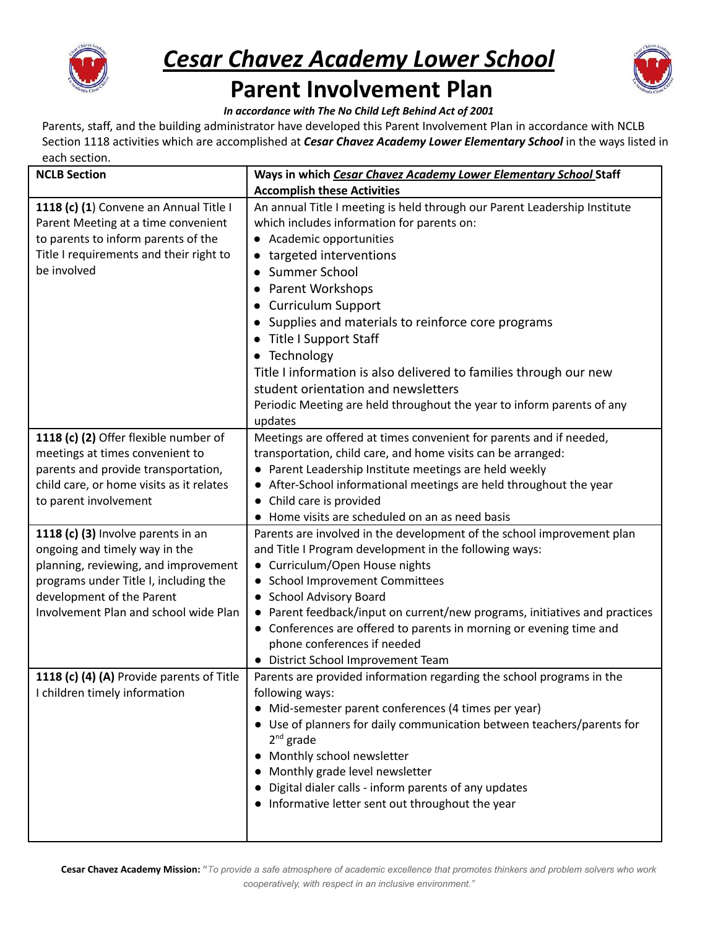

## *Cesar Chavez Academy Lower School*



## **Parent Involvement Plan**

*In accordance with The No Child Left Behind Act of 2001*

Parents, staff, and the building administrator have developed this Parent Involvement Plan in accordance with NCLB Section 1118 activities which are accomplished at *Cesar Chavez Academy Lower Elementary School* in the ways listed in each section.

| <b>NCLB Section</b>                                                           | Ways in which Cesar Chavez Academy Lower Elementary School Staff                                                        |
|-------------------------------------------------------------------------------|-------------------------------------------------------------------------------------------------------------------------|
|                                                                               | <b>Accomplish these Activities</b>                                                                                      |
| 1118 (c) (1) Convene an Annual Title I<br>Parent Meeting at a time convenient | An annual Title I meeting is held through our Parent Leadership Institute<br>which includes information for parents on: |
| to parents to inform parents of the                                           | • Academic opportunities                                                                                                |
| Title I requirements and their right to                                       | • targeted interventions                                                                                                |
| be involved                                                                   | Summer School                                                                                                           |
|                                                                               | <b>Parent Workshops</b>                                                                                                 |
|                                                                               |                                                                                                                         |
|                                                                               | <b>Curriculum Support</b>                                                                                               |
|                                                                               | • Supplies and materials to reinforce core programs                                                                     |
|                                                                               | • Title I Support Staff                                                                                                 |
|                                                                               | • Technology                                                                                                            |
|                                                                               | Title I information is also delivered to families through our new                                                       |
|                                                                               | student orientation and newsletters                                                                                     |
|                                                                               | Periodic Meeting are held throughout the year to inform parents of any<br>updates                                       |
| 1118 (c) (2) Offer flexible number of                                         | Meetings are offered at times convenient for parents and if needed,                                                     |
| meetings at times convenient to                                               | transportation, child care, and home visits can be arranged:                                                            |
| parents and provide transportation,                                           | • Parent Leadership Institute meetings are held weekly                                                                  |
| child care, or home visits as it relates                                      | • After-School informational meetings are held throughout the year                                                      |
| to parent involvement                                                         | • Child care is provided                                                                                                |
|                                                                               | • Home visits are scheduled on an as need basis                                                                         |
| 1118 (c) (3) Involve parents in an                                            | Parents are involved in the development of the school improvement plan                                                  |
| ongoing and timely way in the                                                 | and Title I Program development in the following ways:                                                                  |
| planning, reviewing, and improvement                                          | • Curriculum/Open House nights                                                                                          |
| programs under Title I, including the                                         | • School Improvement Committees                                                                                         |
| development of the Parent                                                     | • School Advisory Board                                                                                                 |
| Involvement Plan and school wide Plan                                         | • Parent feedback/input on current/new programs, initiatives and practices                                              |
|                                                                               | • Conferences are offered to parents in morning or evening time and                                                     |
|                                                                               | phone conferences if needed                                                                                             |
|                                                                               | • District School Improvement Team                                                                                      |
| 1118 (c) (4) (A) Provide parents of Title                                     | Parents are provided information regarding the school programs in the                                                   |
| I children timely information                                                 | following ways:                                                                                                         |
|                                                                               | • Mid-semester parent conferences (4 times per year)                                                                    |
|                                                                               | • Use of planners for daily communication between teachers/parents for<br>$2^{nd}$ grade                                |
|                                                                               | • Monthly school newsletter                                                                                             |
|                                                                               | Monthly grade level newsletter                                                                                          |
|                                                                               | Digital dialer calls - inform parents of any updates                                                                    |
|                                                                               | • Informative letter sent out throughout the year                                                                       |
|                                                                               |                                                                                                                         |
|                                                                               |                                                                                                                         |

Cesar Chavez Academy Mission: "To provide a safe atmosphere of academic excellence that promotes thinkers and problem solvers who work *cooperatively, with respect in an inclusive environment."*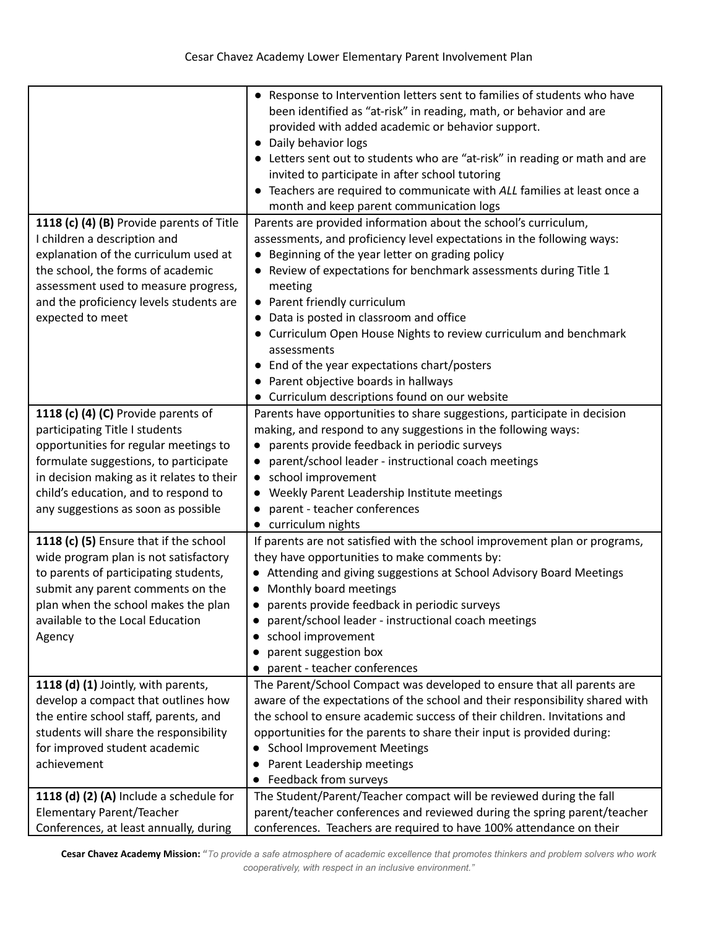|                                                                                                                                                                                                                                                                                     | • Response to Intervention letters sent to families of students who have<br>been identified as "at-risk" in reading, math, or behavior and are<br>provided with added academic or behavior support.<br>• Daily behavior logs<br>• Letters sent out to students who are "at-risk" in reading or math and are<br>invited to participate in after school tutoring<br>• Teachers are required to communicate with ALL families at least once a<br>month and keep parent communication logs                                                                                                   |
|-------------------------------------------------------------------------------------------------------------------------------------------------------------------------------------------------------------------------------------------------------------------------------------|------------------------------------------------------------------------------------------------------------------------------------------------------------------------------------------------------------------------------------------------------------------------------------------------------------------------------------------------------------------------------------------------------------------------------------------------------------------------------------------------------------------------------------------------------------------------------------------|
| 1118 (c) (4) (B) Provide parents of Title<br>I children a description and<br>explanation of the curriculum used at<br>the school, the forms of academic<br>assessment used to measure progress,<br>and the proficiency levels students are<br>expected to meet                      | Parents are provided information about the school's curriculum,<br>assessments, and proficiency level expectations in the following ways:<br>• Beginning of the year letter on grading policy<br>• Review of expectations for benchmark assessments during Title 1<br>meeting<br>• Parent friendly curriculum<br>• Data is posted in classroom and office<br>• Curriculum Open House Nights to review curriculum and benchmark<br>assessments<br>• End of the year expectations chart/posters<br>• Parent objective boards in hallways<br>• Curriculum descriptions found on our website |
| 1118 (c) (4) (C) Provide parents of<br>participating Title I students<br>opportunities for regular meetings to<br>formulate suggestions, to participate<br>in decision making as it relates to their<br>child's education, and to respond to<br>any suggestions as soon as possible | Parents have opportunities to share suggestions, participate in decision<br>making, and respond to any suggestions in the following ways:<br>parents provide feedback in periodic surveys<br>parent/school leader - instructional coach meetings<br>school improvement<br>$\bullet$<br>Weekly Parent Leadership Institute meetings<br>parent - teacher conferences<br>• curriculum nights                                                                                                                                                                                                |
| 1118 (c) (5) Ensure that if the school<br>wide program plan is not satisfactory<br>to parents of participating students,<br>submit any parent comments on the<br>plan when the school makes the plan<br>available to the Local Education<br>Agency                                  | If parents are not satisfied with the school improvement plan or programs,<br>they have opportunities to make comments by:<br>• Attending and giving suggestions at School Advisory Board Meetings<br>• Monthly board meetings<br>parents provide feedback in periodic surveys<br>parent/school leader - instructional coach meetings<br>school improvement<br>parent suggestion box<br>parent - teacher conferences                                                                                                                                                                     |
| 1118 (d) (1) Jointly, with parents,<br>develop a compact that outlines how<br>the entire school staff, parents, and<br>students will share the responsibility<br>for improved student academic<br>achievement                                                                       | The Parent/School Compact was developed to ensure that all parents are<br>aware of the expectations of the school and their responsibility shared with<br>the school to ensure academic success of their children. Invitations and<br>opportunities for the parents to share their input is provided during:<br><b>School Improvement Meetings</b><br>Parent Leadership meetings<br>Feedback from surveys<br>$\bullet$                                                                                                                                                                   |
| 1118 (d) (2) (A) Include a schedule for<br>Elementary Parent/Teacher<br>Conferences, at least annually, during                                                                                                                                                                      | The Student/Parent/Teacher compact will be reviewed during the fall<br>parent/teacher conferences and reviewed during the spring parent/teacher<br>conferences. Teachers are required to have 100% attendance on their                                                                                                                                                                                                                                                                                                                                                                   |

Cesar Chavez Academy Mission: "To provide a safe atmosphere of academic excellence that promotes thinkers and problem solvers who work *cooperatively, with respect in an inclusive environment."*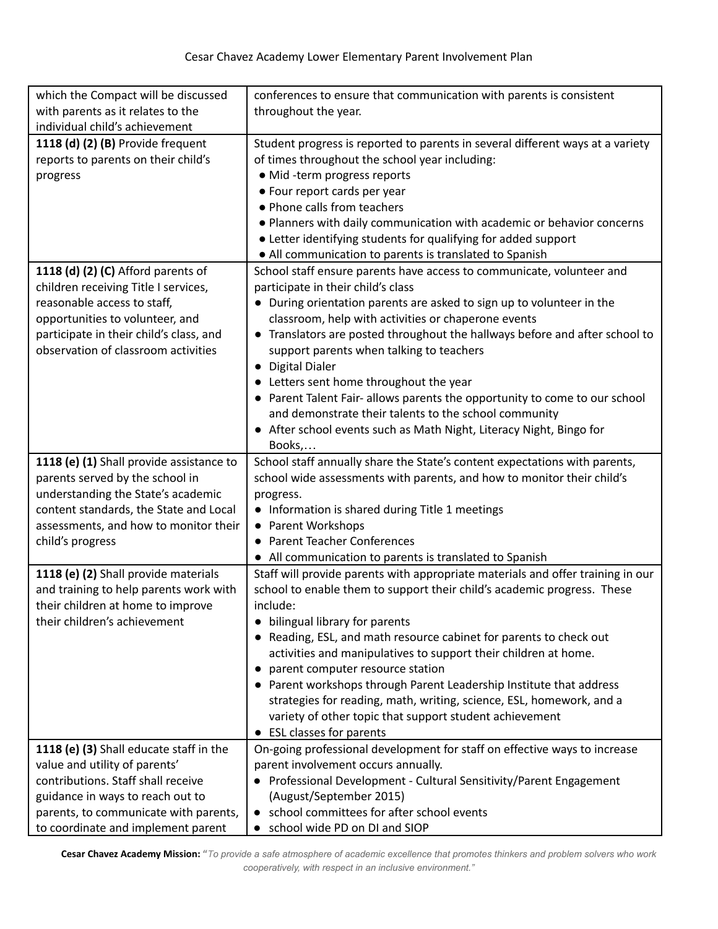| which the Compact will be discussed      | conferences to ensure that communication with parents is consistent             |
|------------------------------------------|---------------------------------------------------------------------------------|
| with parents as it relates to the        | throughout the year.                                                            |
| individual child's achievement           |                                                                                 |
| 1118 (d) (2) (B) Provide frequent        | Student progress is reported to parents in several different ways at a variety  |
| reports to parents on their child's      | of times throughout the school year including:                                  |
| progress                                 | · Mid -term progress reports                                                    |
|                                          | • Four report cards per year                                                    |
|                                          | • Phone calls from teachers                                                     |
|                                          | . Planners with daily communication with academic or behavior concerns          |
|                                          | • Letter identifying students for qualifying for added support                  |
|                                          | • All communication to parents is translated to Spanish                         |
| 1118 (d) (2) (C) Afford parents of       | School staff ensure parents have access to communicate, volunteer and           |
| children receiving Title I services,     | participate in their child's class                                              |
| reasonable access to staff,              | • During orientation parents are asked to sign up to volunteer in the           |
| opportunities to volunteer, and          | classroom, help with activities or chaperone events                             |
| participate in their child's class, and  | • Translators are posted throughout the hallways before and after school to     |
| observation of classroom activities      | support parents when talking to teachers                                        |
|                                          | • Digital Dialer                                                                |
|                                          | • Letters sent home throughout the year                                         |
|                                          | • Parent Talent Fair- allows parents the opportunity to come to our school      |
|                                          | and demonstrate their talents to the school community                           |
|                                          | • After school events such as Math Night, Literacy Night, Bingo for             |
|                                          | Books,                                                                          |
| 1118 (e) (1) Shall provide assistance to | School staff annually share the State's content expectations with parents,      |
| parents served by the school in          | school wide assessments with parents, and how to monitor their child's          |
| understanding the State's academic       | progress.                                                                       |
| content standards, the State and Local   | • Information is shared during Title 1 meetings                                 |
| assessments, and how to monitor their    | • Parent Workshops                                                              |
| child's progress                         | • Parent Teacher Conferences                                                    |
|                                          | • All communication to parents is translated to Spanish                         |
| 1118 (e) (2) Shall provide materials     | Staff will provide parents with appropriate materials and offer training in our |
| and training to help parents work with   | school to enable them to support their child's academic progress. These         |
| their children at home to improve        | include:                                                                        |
| their children's achievement             | bilingual library for parents                                                   |
|                                          | Reading, ESL, and math resource cabinet for parents to check out                |
|                                          | activities and manipulatives to support their children at home.                 |
|                                          | parent computer resource station                                                |
|                                          | • Parent workshops through Parent Leadership Institute that address             |
|                                          | strategies for reading, math, writing, science, ESL, homework, and a            |
|                                          | variety of other topic that support student achievement                         |
|                                          | • ESL classes for parents                                                       |
| 1118 (e) (3) Shall educate staff in the  | On-going professional development for staff on effective ways to increase       |
| value and utility of parents'            | parent involvement occurs annually.                                             |
| contributions. Staff shall receive       | • Professional Development - Cultural Sensitivity/Parent Engagement             |
| guidance in ways to reach out to         | (August/September 2015)                                                         |
| parents, to communicate with parents,    | • school committees for after school events                                     |
| to coordinate and implement parent       | school wide PD on DI and SIOP                                                   |

Cesar Chavez Academy Mission: "To provide a safe atmosphere of academic excellence that promotes thinkers and problem solvers who work *cooperatively, with respect in an inclusive environment."*